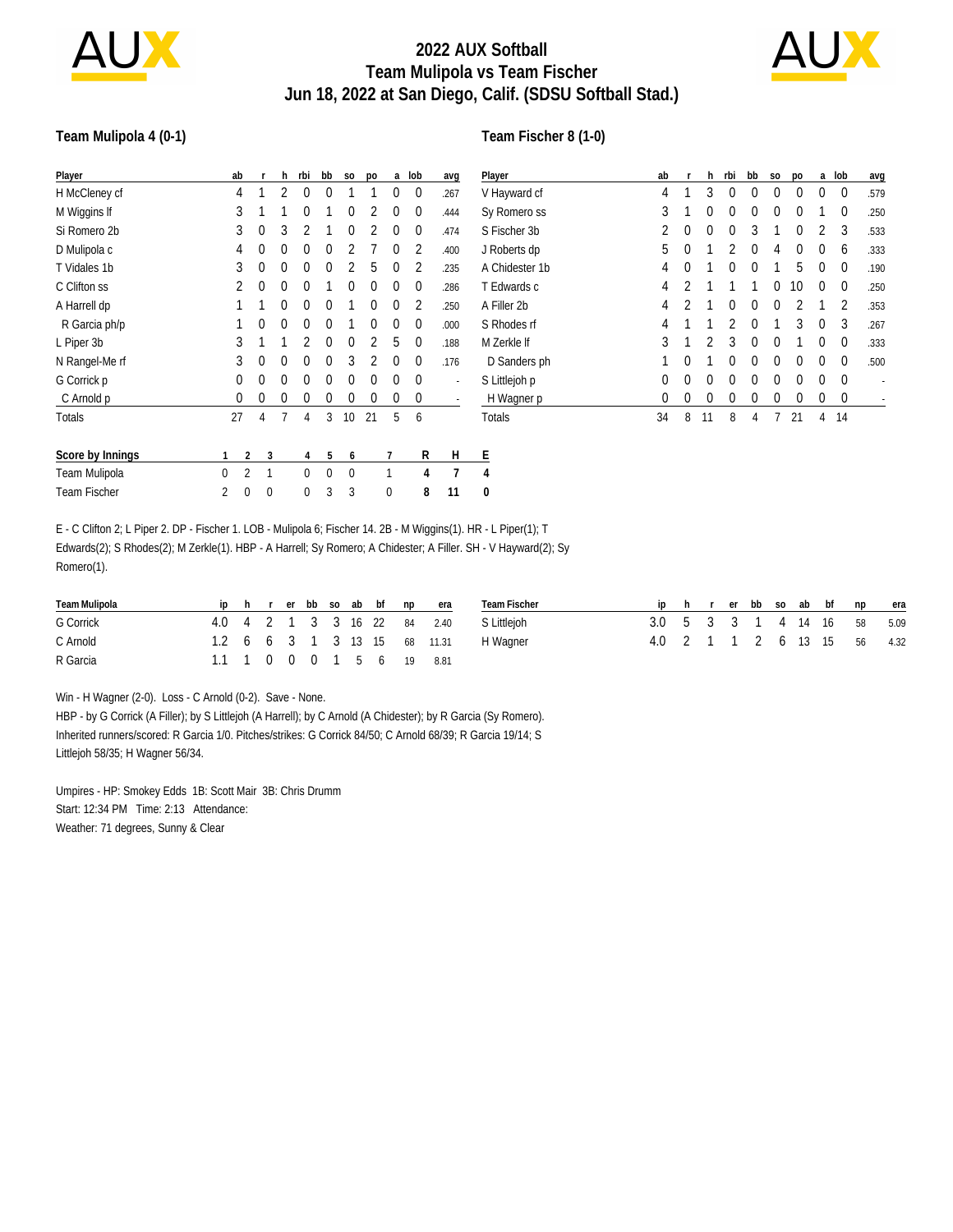

# **2022 AUX Softball Team Mulipola vs Team Fischer Jun 18, 2022 at San Diego, Calif. (SDSU Softball Stad.)**



#### **Team Mulipola 4 (0-1)**

#### **Team Fischer 8 (1-0)**

| Player              | ab             |             |   | h | rbi | bb       | S <sub>0</sub> | po       |          | a lob       | avg  | Player         | ab           |          |          | h rbi        | bb       | S <sub>0</sub> | <b>DO</b> |          | a lob       | avg  |
|---------------------|----------------|-------------|---|---|-----|----------|----------------|----------|----------|-------------|------|----------------|--------------|----------|----------|--------------|----------|----------------|-----------|----------|-------------|------|
| H McCleney cf       | 4              |             |   |   | 0   | 0        |                |          | 0        | 0           | .267 | V Hayward cf   | 4            |          | 3        | $\mathbf{0}$ | $\Omega$ | $\Omega$       | $\Omega$  | $\Omega$ | $\mathbf 0$ | .579 |
| M Wiggins If        | 3              |             |   |   | 0   |          | 0              |          | 0        | $\mathbf 0$ | .444 | Sy Romero ss   | 3            |          | $\Omega$ | $\Omega$     | $\Omega$ | $\Omega$       | $\Omega$  |          | $\Omega$    | .250 |
| Si Romero 2b        | 3              | 0           |   | 3 | 2   |          | 0              |          | 0        | 0           | .474 | S Fischer 3b   | 2            | 0        | $\Omega$ | $\Omega$     | 3        |                | $\Omega$  | 2        | 3           | .533 |
| D Mulipola c        | 4              |             | 0 | 0 | 0   |          |                |          | 0        | 2           | .400 | J Roberts dp   | 5            | $\Omega$ |          |              | $\theta$ | 4              |           | $\theta$ | 6           | .333 |
| T Vidales 1b        | 3              |             | 0 | 0 | 0   | 0        |                | 5        | $\Omega$ | 2           | .235 | A Chidester 1b | 4            | $\Omega$ |          | $\Omega$     | $\Omega$ |                | 5.        | $\theta$ | $\Omega$    | .190 |
| C Clifton ss        |                |             | 0 | 0 | 0   |          | 0              | 0        | 0        | $\mathbf 0$ | .286 | T Edwards c    | 4            |          |          |              |          | $\Omega$       | 10        | $\theta$ | 0           | .250 |
| A Harrell dp        |                |             |   | 0 | 0   | 0        |                | $\Omega$ | 0        | 2           | .250 | A Filler 2b    | 4            |          |          | $\Omega$     | $\theta$ | $\Omega$       |           |          | 2           | .353 |
| R Garcia ph/p       |                |             | 0 | 0 | 0   | 0        |                | $\Omega$ | 0        | 0           | .000 | S Rhodes rf    | 4            |          |          |              | 0        |                | 3         | $\Omega$ | 3           | .267 |
| L Piper 3b          | 3              |             |   |   |     | 0        | 0              |          | 5        | $\theta$    | .188 | M Zerkle If    | 3            |          |          | 3            | $\Omega$ | $\Omega$       |           | $\Omega$ | $\Omega$    | .333 |
| N Rangel-Me rf      | 3              | 0           |   | 0 | 0   | 0        | 3              |          | 0        | $\theta$    | .176 | D Sanders ph   |              | $\Omega$ |          | 0            | $\Omega$ | $\Omega$       | $\Omega$  | $\Omega$ | 0           | .500 |
| G Corrick p         | 0              |             | 0 | 0 | 0   | 0        | 0              | 0        | 0        | $\mathbf 0$ |      | S Littlejoh p  | 0            | $\theta$ | $\Omega$ | $\Omega$     | $\Omega$ | $\Omega$       | $\Omega$  | $\Omega$ | $\Omega$    |      |
| C Arnold p          | 0              |             | 0 | 0 | 0   | 0        | 0              | 0        | 0        | $\mathbf 0$ |      | H Wagner p     | $\mathbf{0}$ | 0        | $\bf{0}$ | 0            | 0        | 0              | $\Omega$  | 0        | $\mathbf 0$ |      |
| Totals              | 27             |             | 4 |   | 4   | 3        | 10             | 21       | 5        | 6           |      | Totals         | 34           | 8        | 11       | 8            | 4        |                | 21        | 4        | 14          |      |
| Score by Innings    |                | 2           | 3 |   | 4   | 5        | 6              |          |          | R           | H    | Ε              |              |          |          |              |          |                |           |          |             |      |
| Team Mulipola       | 0              | 2           |   |   | 0   | $\Omega$ | 0              |          |          | 4           |      | 4              |              |          |          |              |          |                |           |          |             |      |
| <b>Team Fischer</b> | $\overline{2}$ | $\mathbf 0$ | 0 |   | 0   | 3        | 3              |          | 0        | 8           | 11   | 0              |              |          |          |              |          |                |           |          |             |      |

E - C Clifton 2; L Piper 2. DP - Fischer 1. LOB - Mulipola 6; Fischer 14. 2B - M Wiggins(1). HR - L Piper(1); T Edwards(2); S Rhodes(2); M Zerkle(1). HBP - A Harrell; Sy Romero; A Chidester; A Filler. SH - V Hayward(2); Sy Romero(1).

| Team Mulipola |  |  |  |  | iphrerbbsoabbfnpera          | Team Fischer |                             |  |  |  | iphrerbbsoabbfnpera         |  |
|---------------|--|--|--|--|------------------------------|--------------|-----------------------------|--|--|--|-----------------------------|--|
| G Corrick     |  |  |  |  | 4.0 4 2 1 3 3 16 22 84 2.40  | S Littlejoh  | 3.0 5 3 3 1 4 14 16 58 5.09 |  |  |  |                             |  |
| C Arnold      |  |  |  |  | 1.2 6 6 3 1 3 13 15 68 11.31 | H Wagner     |                             |  |  |  | 4.0 2 1 1 2 6 13 15 56 4.32 |  |
| R Garcia      |  |  |  |  | 1.1 1 0 0 0 1 5 6 19 8.81    |              |                             |  |  |  |                             |  |

Win - H Wagner (2-0). Loss - C Arnold (0-2). Save - None.

HBP - by G Corrick (A Filler); by S Littlejoh (A Harrell); by C Arnold (A Chidester); by R Garcia (Sy Romero). Inherited runners/scored: R Garcia 1/0. Pitches/strikes: G Corrick 84/50; C Arnold 68/39; R Garcia 19/14; S Littlejoh 58/35; H Wagner 56/34.

Umpires - HP: Smokey Edds 1B: Scott Mair 3B: Chris Drumm Start: 12:34 PM Time: 2:13 Attendance: Weather: 71 degrees, Sunny & Clear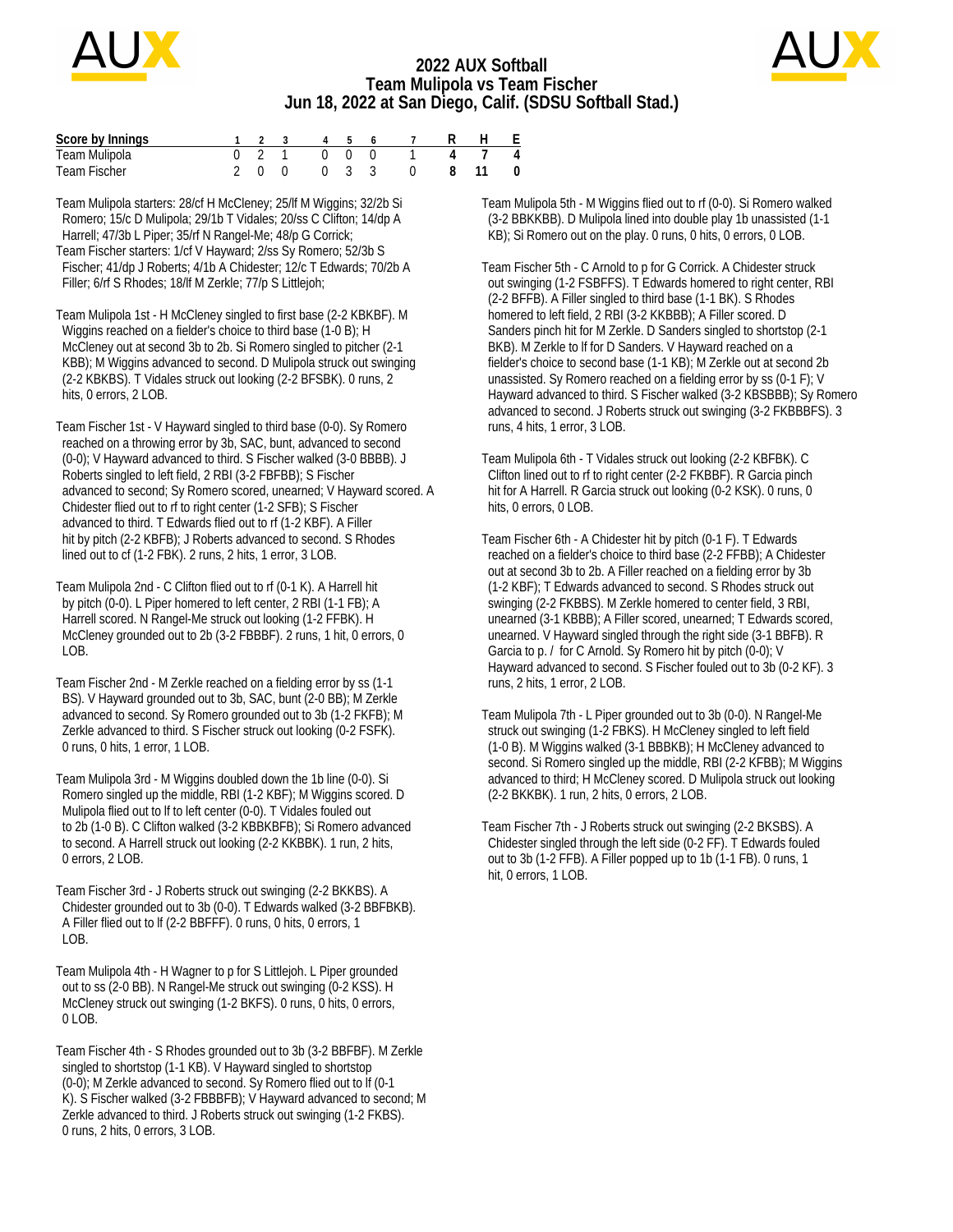

### **2022 AUX Softball Team Mulipola vs Team Fischer Jun 18, 2022 at San Diego, Calif. (SDSU Softball Stad.)**



| Score by Innings |  |             |  | 1 2 3 4 5 6 7 | H F |                    |
|------------------|--|-------------|--|---------------|-----|--------------------|
| Team Mulipola    |  | 0 2 1 0 0 0 |  |               |     | $\overline{4}$     |
| Team Fischer     |  | 2 0 0 0 3 3 |  | 0 8 11        |     | $\hspace{0.1em} 0$ |

Team Mulipola starters: 28/cf H McCleney; 25/lf M Wiggins; 32/2b Si Romero; 15/c D Mulipola; 29/1b T Vidales; 20/ss C Clifton; 14/dp A Harrell; 47/3b L Piper; 35/rf N Rangel-Me; 48/p G Corrick; Team Fischer starters: 1/cf V Hayward; 2/ss Sy Romero; 52/3b S Fischer; 41/dp J Roberts; 4/1b A Chidester; 12/c T Edwards; 70/2b A Filler; 6/rf S Rhodes; 18/lf M Zerkle; 77/p S Littlejoh;

Team Mulipola 1st - H McCleney singled to first base (2-2 KBKBF). M Wiggins reached on a fielder's choice to third base (1-0 B); H McCleney out at second 3b to 2b. Si Romero singled to pitcher (2-1 KBB); M Wiggins advanced to second. D Mulipola struck out swinging (2-2 KBKBS). T Vidales struck out looking (2-2 BFSBK). 0 runs, 2 hits, 0 errors, 2 LOB.

Team Fischer 1st - V Hayward singled to third base (0-0). Sy Romero reached on a throwing error by 3b, SAC, bunt, advanced to second (0-0); V Hayward advanced to third. S Fischer walked (3-0 BBBB). J Roberts singled to left field, 2 RBI (3-2 FBFBB); S Fischer advanced to second; Sy Romero scored, unearned; V Hayward scored. A Chidester flied out to rf to right center (1-2 SFB); S Fischer advanced to third. T Edwards flied out to rf (1-2 KBF). A Filler hit by pitch (2-2 KBFB); J Roberts advanced to second. S Rhodes lined out to cf (1-2 FBK). 2 runs, 2 hits, 1 error, 3 LOB.

Team Mulipola 2nd - C Clifton flied out to rf (0-1 K). A Harrell hit by pitch (0-0). L Piper homered to left center, 2 RBI (1-1 FB); A Harrell scored. N Rangel-Me struck out looking (1-2 FFBK). H McCleney grounded out to 2b (3-2 FBBBF). 2 runs, 1 hit, 0 errors, 0 LOB.

Team Fischer 2nd - M Zerkle reached on a fielding error by ss (1-1 BS). V Hayward grounded out to 3b, SAC, bunt (2-0 BB); M Zerkle advanced to second. Sy Romero grounded out to 3b (1-2 FKFB); M Zerkle advanced to third. S Fischer struck out looking (0-2 FSFK). 0 runs, 0 hits, 1 error, 1 LOB.

Team Mulipola 3rd - M Wiggins doubled down the 1b line (0-0). Si Romero singled up the middle, RBI (1-2 KBF); M Wiggins scored. D Mulipola flied out to lf to left center (0-0). T Vidales fouled out to 2b (1-0 B). C Clifton walked (3-2 KBBKBFB); Si Romero advanced to second. A Harrell struck out looking (2-2 KKBBK). 1 run, 2 hits, 0 errors, 2 LOB.

Team Fischer 3rd - J Roberts struck out swinging (2-2 BKKBS). A Chidester grounded out to 3b (0-0). T Edwards walked (3-2 BBFBKB). A Filler flied out to lf (2-2 BBFFF). 0 runs, 0 hits, 0 errors, 1 LOB.

Team Mulipola 4th - H Wagner to p for S Littlejoh. L Piper grounded out to ss (2-0 BB). N Rangel-Me struck out swinging (0-2 KSS). H McCleney struck out swinging (1-2 BKFS). 0 runs, 0 hits, 0 errors, 0 LOB.

Team Fischer 4th - S Rhodes grounded out to 3b (3-2 BBFBF). M Zerkle singled to shortstop (1-1 KB). V Hayward singled to shortstop (0-0); M Zerkle advanced to second. Sy Romero flied out to lf (0-1 K). S Fischer walked (3-2 FBBBFB); V Hayward advanced to second; M Zerkle advanced to third. J Roberts struck out swinging (1-2 FKBS). 0 runs, 2 hits, 0 errors, 3 LOB.

Team Mulipola 5th - M Wiggins flied out to rf (0-0). Si Romero walked (3-2 BBKKBB). D Mulipola lined into double play 1b unassisted (1-1 KB); Si Romero out on the play. 0 runs, 0 hits, 0 errors, 0 LOB.

Team Fischer 5th - C Arnold to p for G Corrick. A Chidester struck out swinging (1-2 FSBFFS). T Edwards homered to right center, RBI (2-2 BFFB). A Filler singled to third base (1-1 BK). S Rhodes homered to left field, 2 RBI (3-2 KKBBB); A Filler scored. D Sanders pinch hit for M Zerkle. D Sanders singled to shortstop (2-1 BKB). M Zerkle to lf for D Sanders. V Hayward reached on a fielder's choice to second base (1-1 KB); M Zerkle out at second 2b unassisted. Sy Romero reached on a fielding error by ss (0-1 F); V Hayward advanced to third. S Fischer walked (3-2 KBSBBB); Sy Romero advanced to second. J Roberts struck out swinging (3-2 FKBBBFS). 3 runs, 4 hits, 1 error, 3 LOB.

Team Mulipola 6th - T Vidales struck out looking (2-2 KBFBK). C Clifton lined out to rf to right center (2-2 FKBBF). R Garcia pinch hit for A Harrell. R Garcia struck out looking (0-2 KSK). 0 runs, 0 hits, 0 errors, 0 LOB.

Team Fischer 6th - A Chidester hit by pitch (0-1 F). T Edwards reached on a fielder's choice to third base (2-2 FFBB); A Chidester out at second 3b to 2b. A Filler reached on a fielding error by 3b (1-2 KBF); T Edwards advanced to second. S Rhodes struck out swinging (2-2 FKBBS). M Zerkle homered to center field, 3 RBI, unearned (3-1 KBBB); A Filler scored, unearned; T Edwards scored, unearned. V Hayward singled through the right side (3-1 BBFB). R Garcia to p. / for C Arnold. Sy Romero hit by pitch (0-0); V Hayward advanced to second. S Fischer fouled out to 3b (0-2 KF). 3 runs, 2 hits, 1 error, 2 LOB.

Team Mulipola 7th - L Piper grounded out to 3b (0-0). N Rangel-Me struck out swinging (1-2 FBKS). H McCleney singled to left field (1-0 B). M Wiggins walked (3-1 BBBKB); H McCleney advanced to second. Si Romero singled up the middle, RBI (2-2 KFBB); M Wiggins advanced to third; H McCleney scored. D Mulipola struck out looking (2-2 BKKBK). 1 run, 2 hits, 0 errors, 2 LOB.

Team Fischer 7th - J Roberts struck out swinging (2-2 BKSBS). A Chidester singled through the left side (0-2 FF). T Edwards fouled out to 3b (1-2 FFB). A Filler popped up to 1b (1-1 FB). 0 runs, 1 hit, 0 errors, 1 LOB.